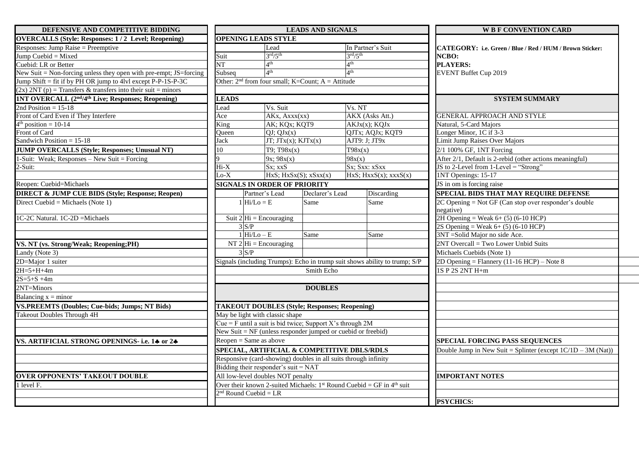| DEFENSIVE AND COMPETITIVE BIDDING                                   | <b>LEADS AND SIGNALS</b>                                                                                                                                                                                                                               |                                     |                                                           |                                                                            | <b>WB F CONVENTION CARD</b>                              |
|---------------------------------------------------------------------|--------------------------------------------------------------------------------------------------------------------------------------------------------------------------------------------------------------------------------------------------------|-------------------------------------|-----------------------------------------------------------|----------------------------------------------------------------------------|----------------------------------------------------------|
| <b>OVERCALLS (Style: Responses: 1/2 Level; Reopening)</b>           | <b>OPENING LEADS STYLE</b>                                                                                                                                                                                                                             |                                     |                                                           |                                                                            |                                                          |
| Responses: Jump Raise = Preemptive                                  |                                                                                                                                                                                                                                                        | Lead                                |                                                           | In Partner's Suit                                                          | CATEGORY: i.e. Green / Blue / Red / HUM / Brown Sticker: |
| Jump Cuebid = Mixed                                                 | Suit                                                                                                                                                                                                                                                   | $3^{\text{rd}}/5^{\text{th}}$       |                                                           | $3^{\text{rd}}/5^{\text{th}}$                                              | NCBO:                                                    |
| Cuebid: LR or Better                                                | NT                                                                                                                                                                                                                                                     | $A$ th                              |                                                           | 4 <sup>th</sup>                                                            | <b>PLAYERS:</b>                                          |
| New Suit $=$ Non-forcing unless they open with pre-empt; JS=forcing | Subsea                                                                                                                                                                                                                                                 | 4 <sup>th</sup>                     |                                                           | $\mathbf{\Delta}^{\text{th}}$                                              | EVENT Buffet Cup 2019                                    |
| Jump Shift = fit if by PH OR jump to 4lvl except P-P-1S-P-3C        | Other: $2nd$ from four small; K=Count; A = Attitude                                                                                                                                                                                                    |                                     |                                                           |                                                                            |                                                          |
| $(2x) 2NT (p) = Transfers & transfers into their suit = minors$     |                                                                                                                                                                                                                                                        |                                     |                                                           |                                                                            |                                                          |
| <b>1NT OVERCALL (2nd/4th Live; Responses; Reopening)</b>            | <b>LEADS</b>                                                                                                                                                                                                                                           |                                     |                                                           |                                                                            | <b>SYSTEM SUMMARY</b>                                    |
| 2nd Position = $15-18$                                              | Lead                                                                                                                                                                                                                                                   | Vs. Suit                            |                                                           | Vs. NT                                                                     |                                                          |
| Front of Card Even if They Interfere                                | Ace                                                                                                                                                                                                                                                    | AKx, Axxx(xx)                       |                                                           | AKX (Asks Att.)                                                            | <b>GENERAL APPROACH AND STYLE</b>                        |
| $4th$ position = 10-14                                              | King                                                                                                                                                                                                                                                   | AK; KQx; KQT9                       |                                                           | AKJx(x); KQJx                                                              | Natural, 5-Card Majors                                   |
| Front of Card                                                       | <b>Oueen</b>                                                                                                                                                                                                                                           | $QJ$ ; $QJx(x)$                     |                                                           | QJTx; AQJx; KQT9                                                           | Longer Minor, 1C if 3-3                                  |
| Sandwich Position $= 15-18$                                         | ack                                                                                                                                                                                                                                                    |                                     | $JT$ ; $JT$ <sub>x</sub> $(x)$ ; $KJT$ <sub>x</sub> $(x)$ | AJT9: J; JT9x                                                              | Limit Jump Raises Over Majors                            |
| <b>JUMP OVERCALLS (Style; Responses; Unusual NT)</b>                |                                                                                                                                                                                                                                                        | T9; T98x(x)                         |                                                           | T98x(x)                                                                    | 2/1 100% GF, 1NT Forcing                                 |
| 1-Suit: Weak; Responses – New Suit = Forcing                        |                                                                                                                                                                                                                                                        | $9x$ ; $98x(x)$                     |                                                           | 98x(x)                                                                     | After 2/1, Default is 2-rebid (other actions meaningful) |
| $2-Suit:$                                                           | Hi-X                                                                                                                                                                                                                                                   | Sx: xxS                             |                                                           | Sx; Sxx: xSxx                                                              | JS to 2-Level from 1-Level = "Strong"                    |
|                                                                     | $\alpha$ -X                                                                                                                                                                                                                                            |                                     | $HxS$ ; $HxSx(S)$ ; $xSxx(x)$                             | $HxS$ ; $HxxS(x)$ ; $xxxS(x)$                                              | 1NT Openings: 15-17                                      |
| Reopen: Cuebid=Michaels                                             |                                                                                                                                                                                                                                                        | <b>SIGNALS IN ORDER OF PRIORITY</b> |                                                           |                                                                            | JS in om is forcing raise                                |
| <b>DIRECT &amp; JUMP CUE BIDS (Style; Response; Reopen)</b>         | Partner's Lead                                                                                                                                                                                                                                         |                                     | Declarer's Lead                                           | Discarding                                                                 | <b>SPECIAL BIDS THAT MAY REQUIRE DEFENSE</b>             |
| Direct Cuebid = Michaels (Note 1)                                   | $1 \vert \text{Hi/Lo} = E$                                                                                                                                                                                                                             |                                     | Same                                                      | Same                                                                       | $2C$ Opening = Not GF (Can stop over responder's double  |
|                                                                     |                                                                                                                                                                                                                                                        |                                     |                                                           |                                                                            | negative)                                                |
| $1C-2C$ Natural. $1C-2D$ =Michaels                                  | Suit $2 \text{Hi} = \text{Encouraging}$                                                                                                                                                                                                                |                                     |                                                           |                                                                            | 2H Opening = Weak $6+ (5) (6-10$ HCP)                    |
|                                                                     | 3 S/P                                                                                                                                                                                                                                                  |                                     |                                                           |                                                                            | 2S Opening = Weak $6+ (5) (6-10$ HCP)                    |
|                                                                     | $1 Hi/Lo - E$                                                                                                                                                                                                                                          |                                     | Same                                                      | Same                                                                       | 3NT = Solid Major no side Ace.                           |
| VS. NT (vs. Strong/Weak; Reopening; PH)                             | NT $2 Hi = Encouraging$                                                                                                                                                                                                                                |                                     |                                                           |                                                                            | 2NT Overcall = Two Lower Unbid Suits                     |
| Landy (Note 3)                                                      | $3^{\circ}S/P$                                                                                                                                                                                                                                         |                                     |                                                           |                                                                            | Michaels Cuebids (Note 1)                                |
| 2D=Major 1 suiter                                                   |                                                                                                                                                                                                                                                        |                                     |                                                           | Signals (including Trumps): Echo in trump suit shows ability to trump; S/P | 2D Opening = Flannery $(11-16$ HCP) – Note 8             |
| $2H = 5 + H + 4m$                                                   |                                                                                                                                                                                                                                                        | Smith Echo                          |                                                           |                                                                            | 1S P 2S 2NT H+m                                          |
| $2S=5+S+4m$                                                         |                                                                                                                                                                                                                                                        |                                     |                                                           |                                                                            |                                                          |
| 2NT=Minors                                                          |                                                                                                                                                                                                                                                        | <b>DOUBLES</b>                      |                                                           |                                                                            |                                                          |
| Balancing $x =$ minor                                               |                                                                                                                                                                                                                                                        |                                     |                                                           |                                                                            |                                                          |
| <b>VS.PREEMTS (Doubles; Cue-bids; Jumps; NT Bids)</b>               |                                                                                                                                                                                                                                                        |                                     | <b>TAKEOUT DOUBLES (Style; Responses; Reopening)</b>      |                                                                            |                                                          |
| <b>Takeout Doubles Through 4H</b>                                   | May be light with classic shape<br>Cue = F until a suit is bid twice; Support X's through $2M$                                                                                                                                                         |                                     |                                                           |                                                                            |                                                          |
|                                                                     |                                                                                                                                                                                                                                                        |                                     |                                                           |                                                                            |                                                          |
|                                                                     |                                                                                                                                                                                                                                                        |                                     |                                                           |                                                                            |                                                          |
| VS. ARTIFICIAL STRONG OPENINGS- i.e. 14 or 24                       | New Suit = $NF$ (unless responder jumped or cuebid or freebid)<br>$Reopen = Same$ as above<br>SPECIAL, ARTIFICIAL & COMPETITIVE DBLS/RDLS<br>Responsive (card-showing) doubles in all suits through infinity<br>Bidding their responder's suit = $NAT$ |                                     |                                                           | <b>SPECIAL FORCING PASS SEQUENCES</b>                                      |                                                          |
|                                                                     |                                                                                                                                                                                                                                                        |                                     |                                                           | Double Jump in New Suit = Splinter (except $1C/1D - 3M$ (Nat))             |                                                          |
|                                                                     |                                                                                                                                                                                                                                                        |                                     |                                                           |                                                                            |                                                          |
|                                                                     |                                                                                                                                                                                                                                                        |                                     |                                                           |                                                                            |                                                          |
| <b>OVER OPPONENTS' TAKEOUT DOUBLE</b>                               | All low-level doubles NOT penalty                                                                                                                                                                                                                      |                                     |                                                           |                                                                            | <b>IMPORTANT NOTES</b>                                   |
| 1 level F.                                                          | Over their known 2-suited Michaels: $1^{st}$ Round Cuebid = $GF$ in $4^{th}$ suit                                                                                                                                                                      |                                     |                                                           |                                                                            |                                                          |
|                                                                     | $nd$ Round Cuebid = LR                                                                                                                                                                                                                                 |                                     |                                                           |                                                                            |                                                          |
|                                                                     |                                                                                                                                                                                                                                                        |                                     |                                                           |                                                                            | <b>PSYCHICS:</b>                                         |
|                                                                     |                                                                                                                                                                                                                                                        |                                     |                                                           |                                                                            |                                                          |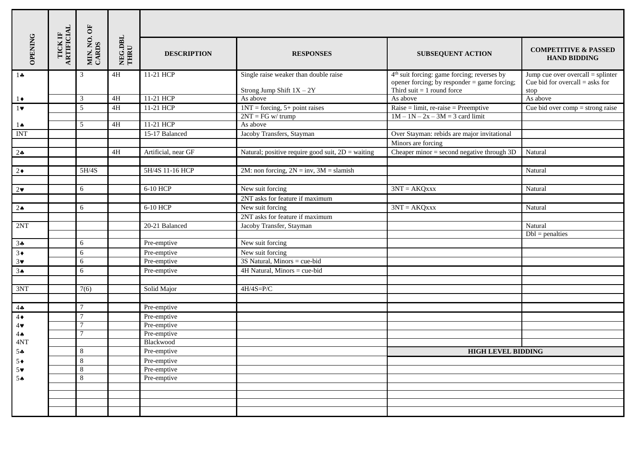|                       | TICK IF<br>ARTIFICIAL<br>MIN. NO. OF<br>CARDS<br>OPENING |                | NEG.DBL<br>THRU | <b>DESCRIPTION</b>  | <b>RESPONSES</b>                                                     | <b>SUBSEQUENT ACTION</b>                                                                                                                  | <b>COMPETITIVE &amp; PASSED</b><br><b>HAND BIDDING</b>                          |  |  |
|-----------------------|----------------------------------------------------------|----------------|-----------------|---------------------|----------------------------------------------------------------------|-------------------------------------------------------------------------------------------------------------------------------------------|---------------------------------------------------------------------------------|--|--|
| $1 -$                 |                                                          | 3              | 4H              | 11-21 HCP           | Single raise weaker than double raise<br>Strong Jump Shift $1X - 2Y$ | 4 <sup>th</sup> suit forcing: game forcing; reverses by<br>opener forcing; by responder $=$ game forcing;<br>Third suit $= 1$ round force | Jump cue over overcall = $spliter$<br>Cue bid for overcall $=$ asks for<br>stop |  |  |
| $1\bullet$            |                                                          | 3              | 4H              | 11-21 HCP           | As above                                                             | As above                                                                                                                                  | As above                                                                        |  |  |
| $1 \vee$              |                                                          | 5              | $4\mathrm{H}$   | 11-21 HCP           | $1NT = forcing, 5 + point raises$                                    | $\text{Raise} = \text{limit}, \text{re-raise} = \text{Preemptive}$                                                                        | $\overline{\text{Cue}}$ bid over comp = strong raise                            |  |  |
|                       |                                                          |                |                 |                     | $2NT = FG w / trump$                                                 | $1M - 1N - 2x - 3M = 3$ card limit                                                                                                        |                                                                                 |  |  |
| 1 ♠                   |                                                          | 5              | 4H              | 11-21 HCP           | As above                                                             |                                                                                                                                           |                                                                                 |  |  |
| <b>INT</b>            |                                                          |                |                 | 15-17 Balanced      | Jacoby Transfers, Stayman                                            | Over Stayman: rebids are major invitational                                                                                               |                                                                                 |  |  |
|                       |                                                          |                |                 |                     |                                                                      | Minors are forcing                                                                                                                        |                                                                                 |  |  |
| $2\clubsuit$          |                                                          |                | 4H              | Artificial, near GF | Natural; positive require good suit, $2D$ = waiting                  | Cheaper minor $=$ second negative through $3D$                                                                                            | Natural                                                                         |  |  |
|                       |                                                          |                |                 |                     |                                                                      |                                                                                                                                           |                                                                                 |  |  |
| $2\bullet$            |                                                          | 5H/4S          |                 | 5H/4S 11-16 HCP     | 2M: non forcing, $2N = inv$ , $3M = slamish$                         |                                                                                                                                           | Natural                                                                         |  |  |
|                       |                                                          |                |                 |                     |                                                                      |                                                                                                                                           |                                                                                 |  |  |
| $2\bullet$            |                                                          | 6              |                 | 6-10 HCP            | New suit forcing                                                     | $3NT = AKQxxx$                                                                                                                            | Natural                                                                         |  |  |
|                       |                                                          |                |                 |                     | 2NT asks for feature if maximum                                      |                                                                                                                                           |                                                                                 |  |  |
| $2 \triangle$         |                                                          | 6              |                 | 6-10 HCP            | New suit forcing                                                     | $3NT = AKQxxx$                                                                                                                            | Natural                                                                         |  |  |
|                       |                                                          |                |                 |                     | 2NT asks for feature if maximum                                      |                                                                                                                                           |                                                                                 |  |  |
| 2NT                   |                                                          |                |                 | 20-21 Balanced      | Jacoby Transfer, Stayman                                             |                                                                                                                                           | Natural                                                                         |  |  |
|                       |                                                          |                |                 |                     |                                                                      |                                                                                                                                           | $Dbl = penalties$                                                               |  |  |
| 34                    |                                                          | 6              |                 | Pre-emptive         | New suit forcing                                                     |                                                                                                                                           |                                                                                 |  |  |
| $3\bullet$            |                                                          | 6              |                 | Pre-emptive         | New suit forcing                                                     |                                                                                                                                           |                                                                                 |  |  |
| $3\vee$               |                                                          | 6              |                 | Pre-emptive         | 3S Natural, Minors = cue-bid                                         |                                                                                                                                           |                                                                                 |  |  |
| 3 <sub>•</sub>        |                                                          | 6              |                 | Pre-emptive         | 4H Natural, Minors = cue-bid                                         |                                                                                                                                           |                                                                                 |  |  |
|                       |                                                          |                |                 |                     |                                                                      |                                                                                                                                           |                                                                                 |  |  |
| 3NT                   |                                                          | 7(6)           |                 | Solid Major         | $4H/4S=P/C$                                                          |                                                                                                                                           |                                                                                 |  |  |
|                       |                                                          |                |                 |                     |                                                                      |                                                                                                                                           |                                                                                 |  |  |
| $4\clubsuit$          |                                                          | $\tau$         |                 | Pre-emptive         |                                                                      |                                                                                                                                           |                                                                                 |  |  |
| $4\bullet$            |                                                          | $\tau$         |                 | Pre-emptive         |                                                                      |                                                                                                                                           |                                                                                 |  |  |
| $4\blacktriangledown$ |                                                          | 7              |                 | Pre-emptive         |                                                                      |                                                                                                                                           |                                                                                 |  |  |
| $4 \spadesuit$        |                                                          |                |                 | Pre-emptive         |                                                                      |                                                                                                                                           |                                                                                 |  |  |
| 4NT                   |                                                          |                |                 | Blackwood           |                                                                      |                                                                                                                                           |                                                                                 |  |  |
| 54                    |                                                          | $8\,$          |                 | Pre-emptive         |                                                                      | <b>HIGH LEVEL BIDDING</b>                                                                                                                 |                                                                                 |  |  |
| $5*$                  |                                                          | 8              |                 | Pre-emptive         |                                                                      |                                                                                                                                           |                                                                                 |  |  |
| $5*$                  |                                                          | $\overline{8}$ |                 | Pre-emptive         |                                                                      |                                                                                                                                           |                                                                                 |  |  |
| 5A                    |                                                          | $\overline{8}$ |                 | Pre-emptive         |                                                                      |                                                                                                                                           |                                                                                 |  |  |
|                       |                                                          |                |                 |                     |                                                                      |                                                                                                                                           |                                                                                 |  |  |
|                       |                                                          |                |                 |                     |                                                                      |                                                                                                                                           |                                                                                 |  |  |
|                       |                                                          |                |                 |                     |                                                                      |                                                                                                                                           |                                                                                 |  |  |
|                       |                                                          |                |                 |                     |                                                                      |                                                                                                                                           |                                                                                 |  |  |